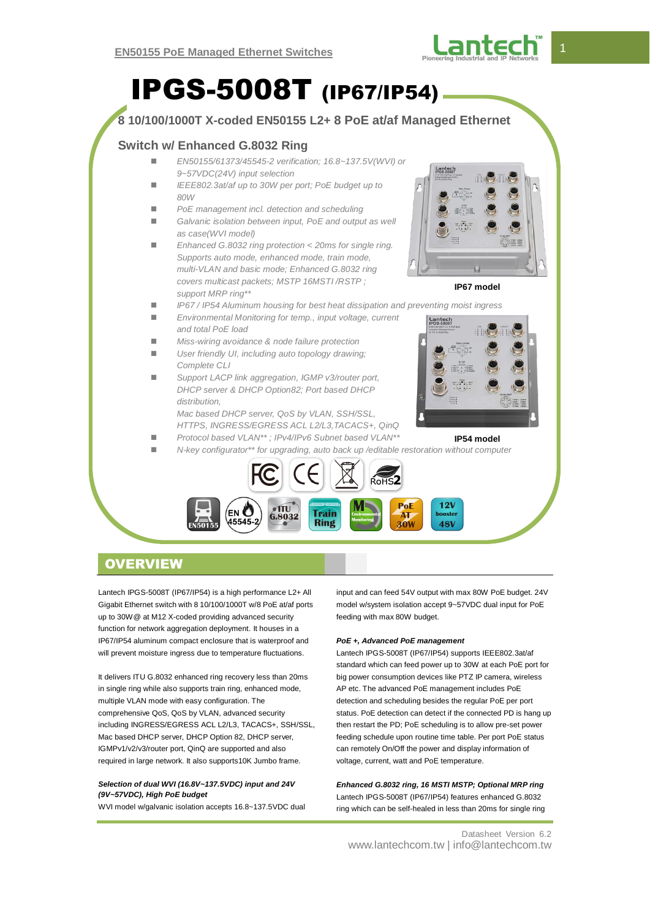

# IPGS-5008T (IP67/IP54)

#### **8 10/100/1000T X-coded EN50155 L2+ 8 PoE at/af Managed Ethernet Switch w/ Enhanced G.8032 Ring** *EN50155/61373/45545-2 verification; 16.8~137.5V(WVI) or 9~57VDC(24V) input selection IEEE802.3at/af up to 30W per port; PoE budget up to 80W PoE management incl. detection and scheduling* ■ Galvanic isolation between input, PoE and output as well *as case(WVI model) Enhanced G.8032 ring protection < 20ms for single ring. Supports auto mode, enhanced mode, train mode, multi-VLAN and basic mode; Enhanced G.8032 ring covers multicast packets; MSTP 16MSTI /RSTP ;*  **IP67 model** *support MRP ring\*\* IP67 / IP54 Aluminum housing for best heat dissipation and preventing moist ingress Environmental Monitoring for temp., input voltage, current and total PoE load Miss-wiring avoidance & node failure protection User friendly UI, including auto topology drawing; Complete CLI Support LACP link aggregation, IGMP v3/router port, DHCP server & DHCP Option82; Port based DHCP distribution, Mac based DHCP server, QoS by VLAN, SSH/SSL, HTTPS, INGRESS/EGRESS ACL L2/L3,TACACS+, QinQ Protocol based VLAN\*\* ; IPv4/IPv6 Subnet based VLAN\*\** **IP54 model** *N-key configurator\*\* for upgrading, auto back up /editable restoration without computer*  $12\lambda$ **PoF** ΈN **Train**  $6.8032$ –...<br>45545 Rino **30V 48V**

## **OVERVIEW**

Lantech IPGS-5008T (IP67/IP54) is a high performance L2+ All Gigabit Ethernet switch with 8 10/100/1000T w/8 PoE at/af ports up to 30W@ at M12 X-coded providing advanced security function for network aggregation deployment. It houses in a IP67/IP54 aluminum compact enclosure that is waterproof and will prevent moisture ingress due to temperature fluctuations.

It delivers ITU G.8032 enhanced ring recovery less than 20ms in single ring while also supports train ring, enhanced mode, multiple VLAN mode with easy configuration. The comprehensive QoS, QoS by VLAN, advanced security including INGRESS/EGRESS ACL L2/L3, TACACS+, SSH/SSL, Mac based DHCP server, DHCP Option 82, DHCP server, IGMPv1/v2/v3/router port, QinQ are supported and also required in large network. It also supports10K Jumbo frame.

#### *Selection of dual WVI (16.8V~137.5VDC) input and 24V (9V~57VDC), High PoE budget*

WVI model w/galvanic isolation accepts 16.8~137.5VDC dual

input and can feed 54V output with max 80W PoE budget. 24V model w/system isolation accept 9~57VDC dual input for PoE feeding with max 80W budget.

#### *PoE +, Advanced PoE management*

Lantech IPGS-5008T (IP67/IP54) supports IEEE802.3at/af standard which can feed power up to 30W at each PoE port for big power consumption devices like PTZ IP camera, wireless AP etc. The advanced PoE management includes PoE detection and scheduling besides the regular PoE per port status. PoE detection can detect if the connected PD is hang up then restart the PD; PoE scheduling is to allow pre-set power feeding schedule upon routine time table. Per port PoE status can remotely On/Off the power and display information of voltage, current, watt and PoE temperature.

*Enhanced G.8032 ring, 16 MSTI MSTP; Optional MRP ring* Lantech IPGS-5008T (IP67/IP54) features enhanced G.8032 ring which can be self-healed in less than 20ms for single ring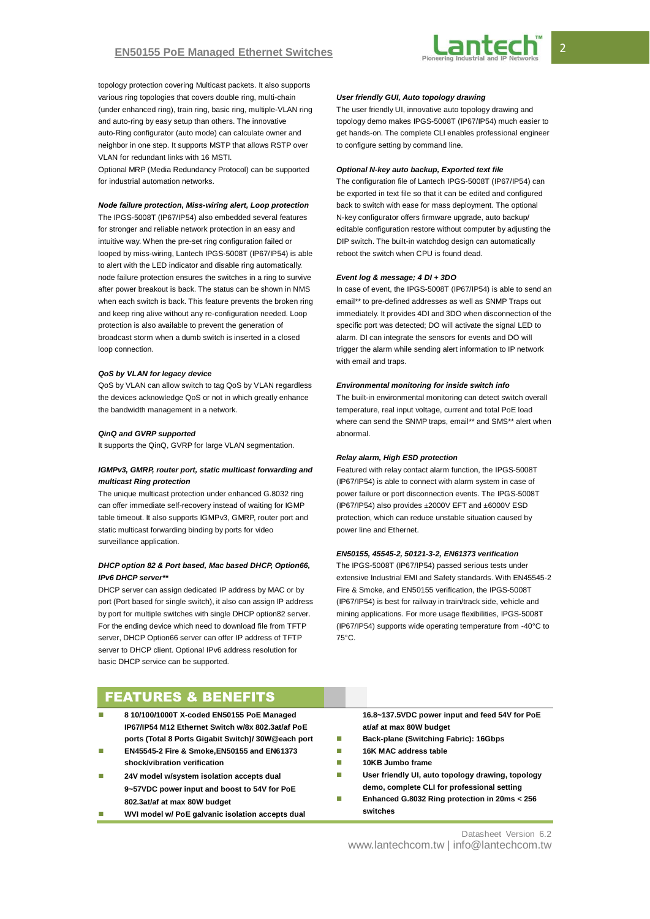

topology protection covering Multicast packets. It also supports various ring topologies that covers double ring, multi-chain (under enhanced ring), train ring, basic ring, multiple-VLAN ring and auto-ring by easy setup than others. The innovative auto-Ring configurator (auto mode) can calculate owner and neighbor in one step. It supports MSTP that allows RSTP over VLAN for redundant links with 16 MSTI.

Optional MRP (Media Redundancy Protocol) can be supported for industrial automation networks.

#### *Node failure protection, Miss-wiring alert, Loop protection*

The IPGS-5008T (IP67/IP54) also embedded several features for stronger and reliable network protection in an easy and intuitive way. When the pre-set ring configuration failed or looped by miss-wiring, Lantech IPGS-5008T (IP67/IP54) is able to alert with the LED indicator and disable ring automatically. node failure protection ensures the switches in a ring to survive after power breakout is back. The status can be shown in NMS when each switch is back. This feature prevents the broken ring and keep ring alive without any re-configuration needed. Loop protection is also available to prevent the generation of broadcast storm when a dumb switch is inserted in a closed loop connection.

#### *QoS by VLAN for legacy device*

QoS by VLAN can allow switch to tag QoS by VLAN regardless the devices acknowledge QoS or not in which greatly enhance the bandwidth management in a network.

#### *QinQ and GVRP supported*

It supports the QinQ, GVRP for large VLAN segmentation.

#### *IGMPv3, GMRP, router port, static multicast forwarding and multicast Ring protection*

The unique multicast protection under enhanced G.8032 ring can offer immediate self-recovery instead of waiting for IGMP table timeout. It also supports IGMPv3, GMRP, router port and static multicast forwarding binding by ports for video surveillance application.

#### *DHCP option 82 & Port based, Mac based DHCP, Option66, IPv6 DHCP server\*\**

DHCP server can assign dedicated IP address by MAC or by port (Port based for single switch), it also can assign IP address by port for multiple switches with single DHCP option82 server. For the ending device which need to download file from TFTP server, DHCP Option66 server can offer IP address of TFTP server to DHCP client. Optional IPv6 address resolution for basic DHCP service can be supported.

#### *User friendly GUI, Auto topology drawing*

The user friendly UI, innovative auto topology drawing and topology demo makes IPGS-5008T (IP67/IP54) much easier to get hands-on. The complete CLI enables professional engineer to configure setting by command line.

#### *Optional N-key auto backup, Exported text file*

The configuration file of Lantech IPGS-5008T (IP67/IP54) can be exported in text file so that it can be edited and configured back to switch with ease for mass deployment. The optional N-key configurator offers firmware upgrade, auto backup/ editable configuration restore without computer by adjusting the DIP switch. The built-in watchdog design can automatically reboot the switch when CPU is found dead.

#### *Event log & message; 4 DI + 3DO*

In case of event, the IPGS-5008T (IP67/IP54) is able to send an email\*\* to pre-defined addresses as well as SNMP Traps out immediately. It provides 4DI and 3DO when disconnection of the specific port was detected; DO will activate the signal LED to alarm. DI can integrate the sensors for events and DO will trigger the alarm while sending alert information to IP network with email and traps.

#### *Environmental monitoring for inside switch info*

The built-in environmental monitoring can detect switch overall temperature, real input voltage, current and total PoE load where can send the SNMP traps, email\*\* and SMS\*\* alert when abnormal.

#### *Relay alarm, High ESD protection*

Featured with relay contact alarm function, the IPGS-5008T (IP67/IP54) is able to connect with alarm system in case of power failure or port disconnection events. The IPGS-5008T (IP67/IP54) also provides ±2000V EFT and ±6000V ESD protection, which can reduce unstable situation caused by power line and Ethernet.

#### *EN50155, 45545-2, 50121-3-2, EN61373 verification*

The IPGS-5008T (IP67/IP54) passed serious tests under extensive Industrial EMI and Safety standards. With EN45545-2 Fire & Smoke, and EN50155 verification, the IPGS-5008T (IP67/IP54) is best for railway in train/track side, vehicle and mining applications. For more usage flexibilities, IPGS-5008T (IP67/IP54) supports wide operating temperature from -40°C to 75°C.

## FEATURES & BENEFITS

- **8 10/100/1000T X-coded EN50155 PoE Managed IP67/IP54 M12 Ethernet Switch w/8x 802.3at/af PoE ports (Total 8 Ports Gigabit Switch)/ 30W@each port**
- **EN45545-2 Fire & Smoke,EN50155 and EN61373 shock/vibration verification**
- **24V model w/system isolation accepts dual 9~57VDC power input and boost to 54V for PoE 802.3at/af at max 80W budget**
- **WVI model w/ PoE galvanic isolation accepts dual**

**16.8~137.5VDC power input and feed 54V for PoE at/af at max 80W budget**

- **Back-plane (Switching Fabric): 16Gbps**
- **16K MAC address table**
- **10KB Jumbo frame**
- **User friendly UI, auto topology drawing, topology demo, complete CLI for professional setting**
- **Enhanced G.8032 Ring protection in 20ms < 256 switches**

Datasheet Version 6.2 www.lantechcom.tw | info@lantechcom.tw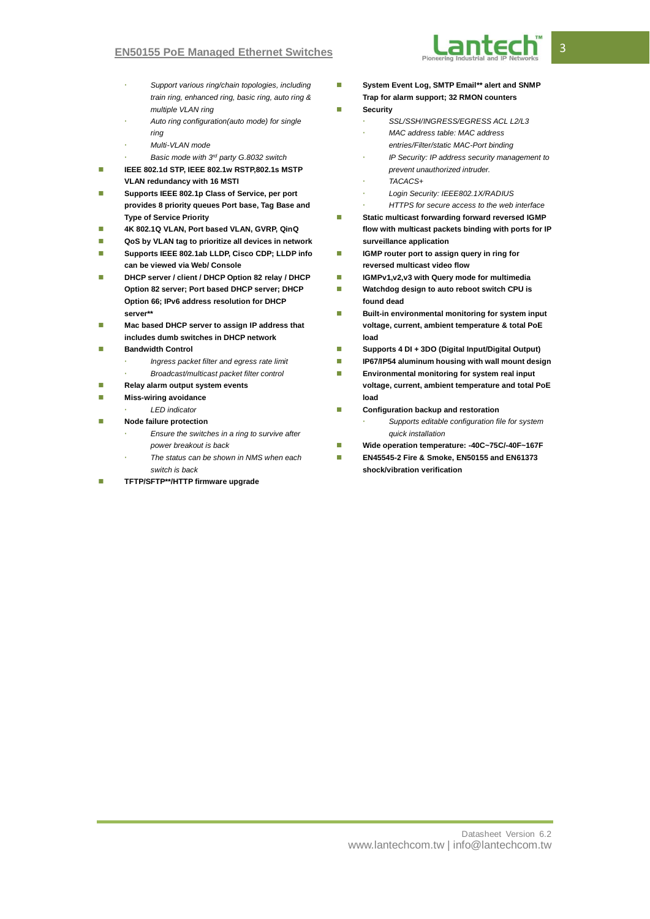- *Support various ring/chain topologies, including train ring, enhanced ring, basic ring, auto ring & multiple VLAN ring*
- *Auto ring configuration(auto mode) for single ring*
- *Multi-VLAN mode*
- *Basic mode with 3rd party G.8032 switch*
- **IEEE 802.1d STP, IEEE 802.1w RSTP,802.1s MSTP VLAN redundancy with 16 MSTI**
- **Supports IEEE 802.1p Class of Service, per port provides 8 priority queues Port base, Tag Base and Type of Service Priority**
- **4K 802.1Q VLAN, Port based VLAN, GVRP, QinQ**
- **QoS by VLAN tag to prioritize all devices in network**
- Supports IEEE 802.1ab LLDP, Cisco CDP; LLDP info **can be viewed via Web/ Console**
- **DHCP server / client / DHCP Option 82 relay / DHCP Option 82 server; Port based DHCP server; DHCP Option 66; IPv6 address resolution for DHCP server\*\***
- **Mac based DHCP server to assign IP address that includes dumb switches in DHCP network**
- **Bandwidth Control**
	- *Ingress packet filter and egress rate limit*
	- *Broadcast/multicast packet filter control*
- **Relay alarm output system events**
- **Miss-wiring avoidance** 
	- *LED indicator*
- **Node failure protection** 
	- *Ensure the switches in a ring to survive after power breakout is back*
	- *The status can be shown in NMS when each switch is back*
- **TFTP/SFTP\*\*/HTTP firmware upgrade**
- **System Event Log, SMTP Email\*\* alert and SNMP Trap for alarm support; 32 RMON counters**
- **Security** 
	- *SSL/SSH/INGRESS/EGRESS ACL L2/L3 MAC address table: MAC address*
	- *entries/Filter/static MAC-Port binding*
	- *IP Security: IP address security management to prevent unauthorized intruder.*
	- *TACACS+*
	- *Login Security: IEEE802.1X/RADIUS*
	- *HTTPS for secure access to the web interface*
- **Static multicast forwarding forward reversed IGMP flow with multicast packets binding with ports for IP surveillance application**
- **IGMP router port to assign query in ring for reversed multicast video flow**
- **IGMPv1,v2,v3 with Query mode for multimedia**
- **Watchdog design to auto reboot switch CPU is found dead**
- **Built-in environmental monitoring for system input voltage, current, ambient temperature & total PoE load**
- **Supports 4 DI + 3DO (Digital Input/Digital Output)**
- **IP67/IP54 aluminum housing with wall mount design**
- **Environmental monitoring for system real input voltage, current, ambient temperature and total PoE load**
- **Configuration backup and restoration** 
	- *Supports editable configuration file for system quick installation*
- **Wide operation temperature: -40C~75C/-40F~167F**
- **EN45545-2 Fire & Smoke, EN50155 and EN61373 shock/vibration verification**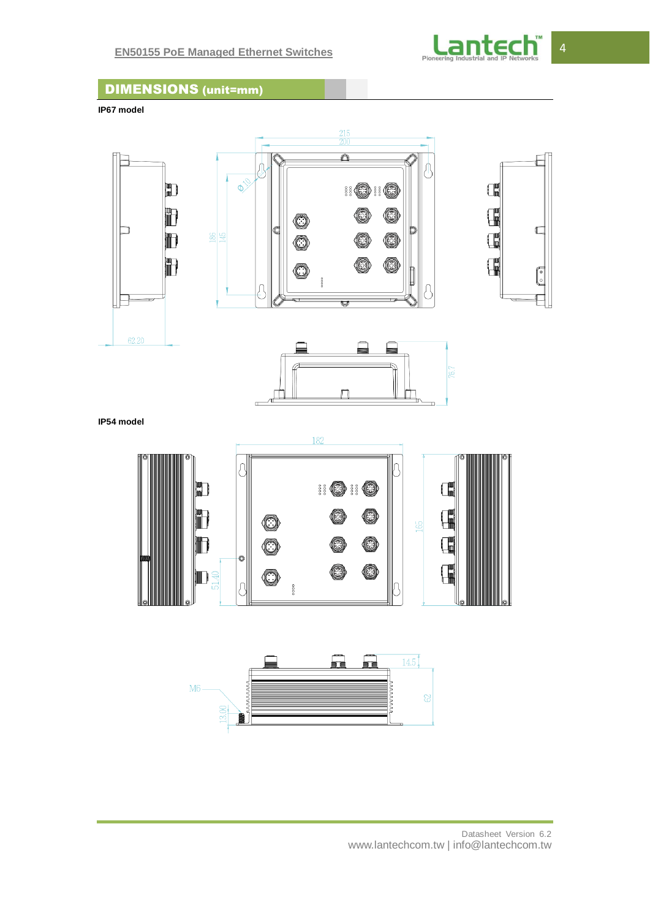

## DIMENSIONS (unit=mm)

**IP67 model**



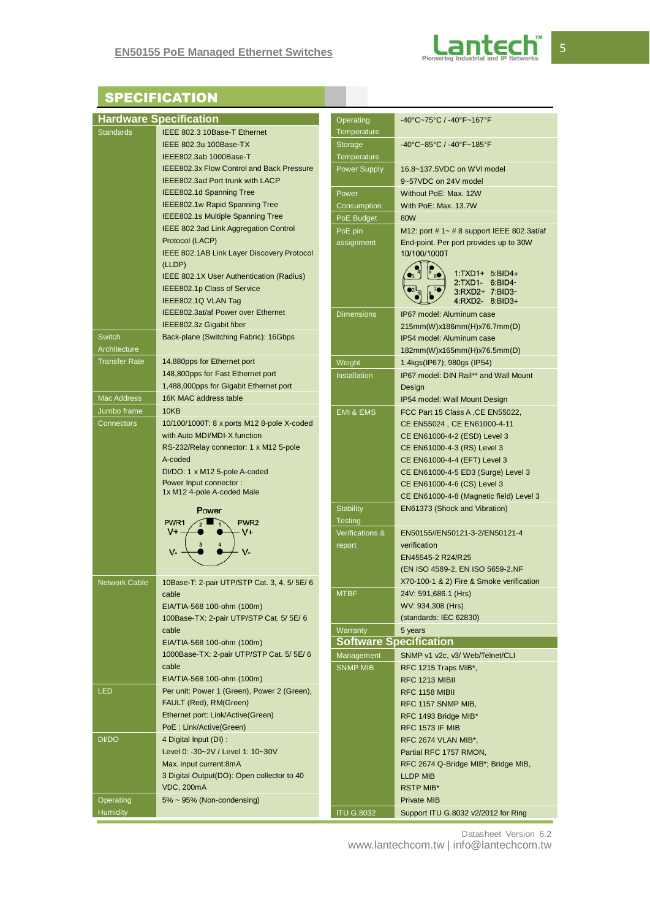

## **SPECIFICATION**

| <b>Hardware Specification</b><br>Operating<br>-40°C~75°C / -40°F~167°F |                                                                  |                      |                                                                 |  |
|------------------------------------------------------------------------|------------------------------------------------------------------|----------------------|-----------------------------------------------------------------|--|
| <b>Standards</b>                                                       | IEEE 802.3 10Base-T Ethernet                                     | Temperature          |                                                                 |  |
|                                                                        | IEEE 802.3u 100Base-TX                                           | Storage              | -40°C~85°C / -40°F~185°F                                        |  |
|                                                                        | IEEE802.3ab 1000Base-T                                           | Temperature          |                                                                 |  |
|                                                                        | <b>IEEE802.3x Flow Control and Back Pressure</b>                 | <b>Power Supply</b>  | 16.8~137.5VDC on WVI model                                      |  |
|                                                                        | IEEE802.3ad Port trunk with LACP                                 |                      | 9~57VDC on 24V model                                            |  |
|                                                                        | IEEE802.1d Spanning Tree                                         | Power                | Without PoE: Max. 12W                                           |  |
|                                                                        | IEEE802.1w Rapid Spanning Tree                                   | Consumption          | With PoE: Max. 13.7W                                            |  |
|                                                                        | IEEE802.1s Multiple Spanning Tree                                | PoE Budget           | 80W                                                             |  |
|                                                                        | IEEE 802.3ad Link Aggregation Control                            | PoE pin              | M12: port # 1~ # 8 support IEEE 802.3at/af                      |  |
|                                                                        | Protocol (LACP)                                                  | assignment           | End-point. Per port provides up to 30W                          |  |
|                                                                        | IEEE 802.1AB Link Layer Discovery Protocol                       |                      | 10/100/1000T                                                    |  |
|                                                                        | (LLDP)                                                           |                      | 1:TXD1+ 5:BID4+                                                 |  |
|                                                                        | IEEE 802.1X User Authentication (Radius)                         |                      | 2:TXD1- 6:BID4-                                                 |  |
|                                                                        | IEEE802.1p Class of Service                                      |                      | 3:RXD2+ 7:BID3-                                                 |  |
|                                                                        | IEEE802.1Q VLAN Tag                                              |                      | 4:RXD2- 8:BID3+                                                 |  |
|                                                                        | IEEE802.3at/af Power over Ethernet                               | <b>Dimensions</b>    | IP67 model: Aluminum case                                       |  |
|                                                                        | IEEE802.3z Gigabit fiber                                         |                      | 215mm(W)x186mm(H)x76.7mm(D)                                     |  |
| <b>Switch</b>                                                          | Back-plane (Switching Fabric): 16Gbps                            |                      | IP54 model: Aluminum case                                       |  |
| Architecture                                                           |                                                                  |                      | 182mm(W)x165mm(H)x76.5mm(D)                                     |  |
| <b>Transfer Rate</b>                                                   | 14,880pps for Ethernet port<br>148,800pps for Fast Ethernet port | Weight               | 1.4kgs(IP67); 980gs (IP54)                                      |  |
|                                                                        | 1,488,000pps for Gigabit Ethernet port                           | <b>Installation</b>  | IP67 model: DIN Rail** and Wall Mount                           |  |
| <b>Mac Address</b>                                                     | 16K MAC address table                                            |                      | Design                                                          |  |
| Jumbo frame                                                            | 10KB                                                             |                      | IP54 model: Wall Mount Design                                   |  |
| <b>Connectors</b>                                                      | 10/100/1000T: 8 x ports M12 8-pole X-coded                       | <b>EMI &amp; EMS</b> | FCC Part 15 Class A, CE EN55022,<br>CE EN55024, CE EN61000-4-11 |  |
|                                                                        | with Auto MDI/MDI-X function                                     |                      | CE EN61000-4-2 (ESD) Level 3                                    |  |
|                                                                        | RS-232/Relay connector: 1 x M12 5-pole                           |                      | CE EN61000-4-3 (RS) Level 3                                     |  |
|                                                                        | A-coded                                                          |                      | CE EN61000-4-4 (EFT) Level 3                                    |  |
|                                                                        | DI/DO: 1 x M12 5-pole A-coded                                    |                      | CE EN61000-4-5 ED3 (Surge) Level 3                              |  |
|                                                                        | Power Input connector:                                           |                      | CE EN61000-4-6 (CS) Level 3                                     |  |
|                                                                        | 1x M12 4-pole A-coded Male                                       |                      | CE EN61000-4-8 (Magnetic field) Level 3                         |  |
|                                                                        | Power                                                            | <b>Stability</b>     | EN61373 (Shock and Vibration)                                   |  |
|                                                                        | PWR <sub>1</sub><br>PWR <sub>2</sub>                             | <b>Testing</b>       |                                                                 |  |
|                                                                        | $V+$<br>$V^+$                                                    | Verifications &      | EN50155//EN50121-3-2/EN50121-4                                  |  |
|                                                                        | $V -$<br>V-                                                      | report               | verification                                                    |  |
|                                                                        |                                                                  |                      | EN45545-2 R24/R25                                               |  |
|                                                                        |                                                                  |                      | (EN ISO 4589-2, EN ISO 5659-2, NF                               |  |
| <b>Network Cable</b>                                                   | 10Base-T: 2-pair UTP/STP Cat. 3, 4, 5/ 5E/ 6                     |                      | X70-100-1 & 2) Fire & Smoke verification                        |  |
|                                                                        | cable                                                            | <b>MTBF</b>          | 24V: 591,686.1 (Hrs)                                            |  |
|                                                                        | EIA/TIA-568 100-ohm (100m)                                       |                      | WV: 934,308 (Hrs)                                               |  |
|                                                                        | 100Base-TX: 2-pair UTP/STP Cat. 5/ 5E/ 6                         |                      | (standards: IEC 62830)                                          |  |
|                                                                        | cable                                                            | Warranty             | 5 years                                                         |  |
|                                                                        | EIA/TIA-568 100-ohm (100m)                                       |                      | <b>Software Specification</b>                                   |  |
|                                                                        | 1000Base-TX: 2-pair UTP/STP Cat. 5/5E/6<br>cable                 | Management           | SNMP v1 v2c, v3/ Web/Telnet/CLI                                 |  |
|                                                                        | EIA/TIA-568 100-ohm (100m)                                       | <b>SNMP MIB</b>      | RFC 1215 Traps MIB*,                                            |  |
| <b>LED</b>                                                             | Per unit: Power 1 (Green), Power 2 (Green),                      |                      | RFC 1213 MIBII                                                  |  |
|                                                                        | FAULT (Red), RM(Green)                                           |                      | <b>RFC 1158 MIBII</b>                                           |  |
|                                                                        | Ethernet port: Link/Active(Green)                                |                      | RFC 1157 SNMP MIB,                                              |  |
|                                                                        | PoE : Link/Active(Green)                                         |                      | RFC 1493 Bridge MIB*<br><b>RFC 1573 IF MIB</b>                  |  |
| DI/DO                                                                  | 4 Digital Input (DI) :                                           |                      | RFC 2674 VLAN MIB*,                                             |  |
|                                                                        | Level 0: -30~2V / Level 1: 10~30V                                |                      | Partial RFC 1757 RMON,                                          |  |
|                                                                        | Max. input current:8mA                                           |                      | RFC 2674 Q-Bridge MIB*; Bridge MIB,                             |  |
|                                                                        | 3 Digital Output(DO): Open collector to 40                       |                      | <b>LLDP MIB</b>                                                 |  |
|                                                                        | <b>VDC, 200mA</b>                                                |                      | <b>RSTP MIB*</b>                                                |  |
| Operating                                                              | 5% ~ 95% (Non-condensing)                                        |                      | <b>Private MIB</b>                                              |  |
| <b>Humidity</b>                                                        |                                                                  | <b>ITU G.8032</b>    | Support ITU G.8032 v2/2012 for Ring                             |  |

Datasheet Version 6.2

www.lantechcom.tw | info@lantechcom.tw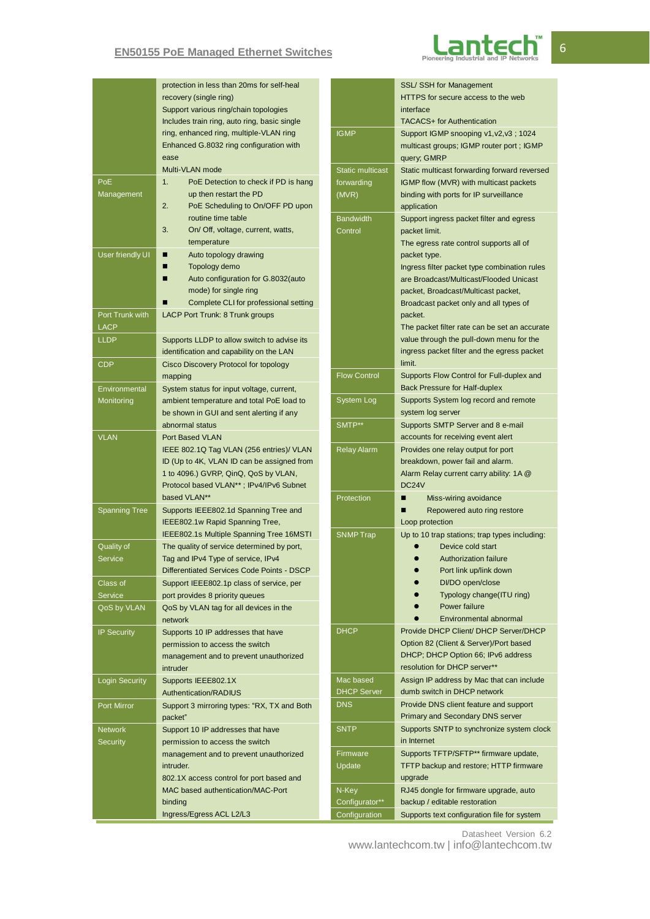### **EN50155 PoE Managed Ethernet Switches**



|                                   | protection in less than 20ms for self-heal<br>recovery (single ring)<br>Support various ring/chain topologies<br>Includes train ring, auto ring, basic single      |                                                | SSL/ SSH for Management<br>HTTPS for secure access to the web<br>interface<br><b>TACACS+</b> for Authentication                                                                          |
|-----------------------------------|--------------------------------------------------------------------------------------------------------------------------------------------------------------------|------------------------------------------------|------------------------------------------------------------------------------------------------------------------------------------------------------------------------------------------|
|                                   | ring, enhanced ring, multiple-VLAN ring<br>Enhanced G.8032 ring configuration with<br>ease                                                                         | <b>IGMP</b>                                    | Support IGMP snooping v1, v2, v3; 1024<br>multicast groups; IGMP router port; IGMP<br>query; GMRP                                                                                        |
| PoE<br>Management                 | Multi-VLAN mode<br>1.<br>PoE Detection to check if PD is hang<br>up then restart the PD<br>2.<br>PoE Scheduling to On/OFF PD upon                                  | <b>Static multicast</b><br>forwarding<br>(MVR) | Static multicast forwarding forward reversed<br>IGMP flow (MVR) with multicast packets<br>binding with ports for IP surveillance<br>application                                          |
|                                   | routine time table<br>3.<br>On/ Off, voltage, current, watts,<br>temperature                                                                                       | <b>Bandwidth</b><br>Control                    | Support ingress packet filter and egress<br>packet limit.<br>The egress rate control supports all of                                                                                     |
| User friendly UI                  | п<br>Auto topology drawing<br>Topology demo<br>п<br>Auto configuration for G.8032(auto<br>■<br>mode) for single ring<br>п<br>Complete CLI for professional setting |                                                | packet type.<br>Ingress filter packet type combination rules<br>are Broadcast/Multicast/Flooded Unicast<br>packet, Broadcast/Multicast packet,<br>Broadcast packet only and all types of |
| Port Trunk with                   | LACP Port Trunk: 8 Trunk groups                                                                                                                                    |                                                | packet.                                                                                                                                                                                  |
| <b>LACP</b><br><b>LLDP</b>        | Supports LLDP to allow switch to advise its                                                                                                                        |                                                | The packet filter rate can be set an accurate<br>value through the pull-down menu for the                                                                                                |
|                                   | identification and capability on the LAN                                                                                                                           |                                                | ingress packet filter and the egress packet                                                                                                                                              |
| <b>CDP</b>                        | Cisco Discovery Protocol for topology<br>mapping                                                                                                                   | <b>Flow Control</b>                            | limit.<br>Supports Flow Control for Full-duplex and                                                                                                                                      |
| Environmental                     | System status for input voltage, current,                                                                                                                          |                                                | <b>Back Pressure for Half-duplex</b>                                                                                                                                                     |
| Monitoring                        | ambient temperature and total PoE load to                                                                                                                          | System Log                                     | Supports System log record and remote                                                                                                                                                    |
|                                   | be shown in GUI and sent alerting if any<br>abnormal status                                                                                                        | SMTP**                                         | system log server<br>Supports SMTP Server and 8 e-mail                                                                                                                                   |
| <b>VLAN</b>                       | Port Based VLAN                                                                                                                                                    |                                                | accounts for receiving event alert                                                                                                                                                       |
|                                   | IEEE 802.1Q Tag VLAN (256 entries)/ VLAN                                                                                                                           | <b>Relay Alarm</b>                             | Provides one relay output for port                                                                                                                                                       |
|                                   | ID (Up to 4K, VLAN ID can be assigned from<br>1 to 4096.) GVRP, QinQ, QoS by VLAN,                                                                                 |                                                | breakdown, power fail and alarm.<br>Alarm Relay current carry ability: 1A @                                                                                                              |
|                                   | Protocol based VLAN**; IPv4/IPv6 Subnet                                                                                                                            |                                                | DC24V                                                                                                                                                                                    |
| <b>Spanning Tree</b>              | based VLAN**<br>Supports IEEE802.1d Spanning Tree and                                                                                                              | Protection                                     | Miss-wiring avoidance<br>■<br>Repowered auto ring restore<br>■                                                                                                                           |
|                                   | IEEE802.1w Rapid Spanning Tree,                                                                                                                                    |                                                | Loop protection                                                                                                                                                                          |
|                                   | IEEE802.1s Multiple Spanning Tree 16MSTI                                                                                                                           | <b>SNMP Trap</b>                               | Up to 10 trap stations; trap types including:                                                                                                                                            |
| Quality of<br><b>Service</b>      | The quality of service determined by port,<br>Tag and IPv4 Type of service, IPv4                                                                                   |                                                | Device cold start<br><b>Authorization failure</b>                                                                                                                                        |
|                                   | Differentiated Services Code Points - DSCP                                                                                                                         |                                                | Port link up/link down                                                                                                                                                                   |
| Class of                          | Support IEEE802.1p class of service, per                                                                                                                           |                                                | DI/DO open/close                                                                                                                                                                         |
| Service<br>QoS by VLAN            | port provides 8 priority queues<br>QoS by VLAN tag for all devices in the                                                                                          |                                                | Typology change(ITU ring)<br>Power failure                                                                                                                                               |
|                                   | network                                                                                                                                                            |                                                | Environmental abnormal                                                                                                                                                                   |
| <b>IP Security</b>                | Supports 10 IP addresses that have                                                                                                                                 | <b>DHCP</b>                                    | Provide DHCP Client/ DHCP Server/DHCP                                                                                                                                                    |
|                                   | permission to access the switch                                                                                                                                    |                                                | Option 82 (Client & Server)/Port based<br>DHCP; DHCP Option 66; IPv6 address                                                                                                             |
|                                   | management and to prevent unauthorized<br>intruder                                                                                                                 |                                                | resolution for DHCP server**                                                                                                                                                             |
| <b>Login Security</b>             | Supports IEEE802.1X                                                                                                                                                | Mac based                                      | Assign IP address by Mac that can include                                                                                                                                                |
|                                   | Authentication/RADIUS                                                                                                                                              | <b>DHCP Server</b><br><b>DNS</b>               | dumb switch in DHCP network<br>Provide DNS client feature and support                                                                                                                    |
| Port Mirror                       | Support 3 mirroring types: "RX, TX and Both<br>packet"                                                                                                             |                                                | <b>Primary and Secondary DNS server</b>                                                                                                                                                  |
| <b>Network</b><br><b>Security</b> | Support 10 IP addresses that have<br>permission to access the switch                                                                                               | <b>SNTP</b>                                    | Supports SNTP to synchronize system clock<br>in Internet                                                                                                                                 |
|                                   | management and to prevent unauthorized                                                                                                                             | Firmware                                       | Supports TFTP/SFTP** firmware update,                                                                                                                                                    |
|                                   | intruder.                                                                                                                                                          | Update                                         | TFTP backup and restore; HTTP firmware                                                                                                                                                   |
|                                   | 802.1X access control for port based and<br>MAC based authentication/MAC-Port                                                                                      | N-Key                                          | upgrade<br>RJ45 dongle for firmware upgrade, auto                                                                                                                                        |
|                                   | binding                                                                                                                                                            | Configurator**                                 | backup / editable restoration                                                                                                                                                            |
|                                   | Ingress/Egress ACL L2/L3                                                                                                                                           | Configuration                                  | Supports text configuration file for system                                                                                                                                              |

Datasheet Version 6.2

www.lantechcom.tw | info@lantechcom.tw